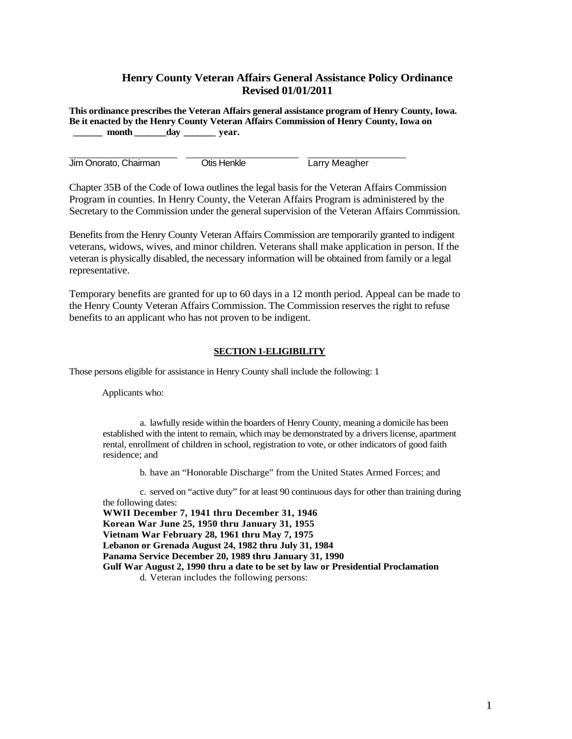# **Henry County Veteran Affairs General Assistance Policy Ordinance Revised 01/01/2011**

**This ordinance prescribes the Veteran Affairs general assistance program of Henry County, Iowa. Be it enacted by the Henry County Veteran Affairs Commission of Henry County, Iowa on**  month day year.

Jim Onorato, Chairman **Otis Henkle** Larry Meagher

Chapter 35B of the Code of Iowa outlines the legal basis for the Veteran Affairs Commission Program in counties. In Henry County, the Veteran Affairs Program is administered by the Secretary to the Commission under the general supervision of the Veteran Affairs Commission.

Benefits from the Henry County Veteran Affairs Commission are temporarily granted to indigent veterans, widows, wives, and minor children. Veterans shall make application in person. If the veteran is physically disabled, the necessary information will be obtained from family or a legal representative.

Temporary benefits are granted for up to 60 days in a 12 month period. Appeal can be made to the Henry County Veteran Affairs Commission. The Commission reserves the right to refuse benefits to an applicant who has not proven to be indigent.

# **SECTION 1-ELIGIBILITY**

Those persons eligible for assistance in Henry County shall include the following: 1.

Applicants who:

a. lawfully reside within the boarders of Henry County, meaning a domicile has been established with the intent to remain, which may be demonstrated by a drivers license, apartment rental, enrollment of children in school, registration to vote, or other indicators of good faith residence; and

b. have an "Honorable Discharge" from the United States Armed Forces; and

c. served on "active duty" for at least 90 continuous days for other than training during the following dates:

**WWII December 7, 1941 thru December 31, 1946 Korean War June 25, 1950 thru January 31, 1955 Vietnam War February 28, 1961 thru May 7, 1975 Lebanon or Grenada August 24, 1982 thru July 31, 1984 Panama Service December 20, 1989 thru January 31, 1990 Gulf War August 2, 1990 thru a date to be set by law or Presidential Proclamation**  d. Veteran includes the following persons: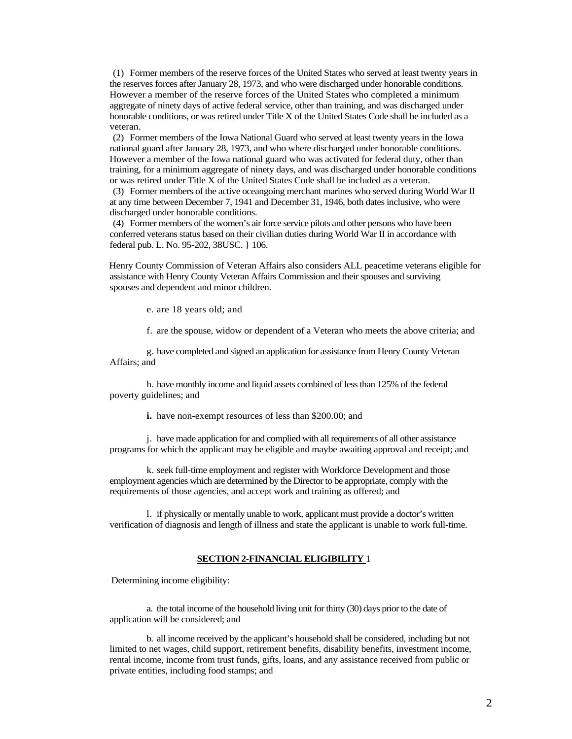(1) Former members of the reserve forces of the United States who served at least twenty years in the reserves forces after January 28, 1973, and who were discharged under honorable conditions. However a member of the reserve forces of the United States who completed a minimum aggregate of ninety days of active federal service, other than training, and was discharged under honorable conditions, or was retired under Title X of the United States Code shall be included as a veteran.

(2) Former members of the Iowa National Guard who served at least twenty years in the Iowa national guard after January 28, 1973, and who where discharged under honorable conditions. However a member of the Iowa national guard who was activated for federal duty, other than training, for a minimum aggregate of ninety days, and was discharged under honorable conditions or was retired under Title X of the United States Code shall be included as a veteran.

(3) Former members of the active oceangoing merchant marines who served during World War II at any time between December 7, 1941 and December 31, 1946, both dates inclusive, who were discharged under honorable conditions.

(4) Former members of the women's air force service pilots and other persons who have been conferred veterans status based on their civilian duties during World War II in accordance with federal pub. L. No. 95-202, 38USC. } 106.

Henry County Commission of Veteran Affairs also considers ALL peacetime veterans eligible for assistance with Henry County Veteran Affairs Commission and their spouses and surviving spouses and dependent and minor children.

e. are 18 years old; and

f. are the spouse, widow or dependent of a Veteran who meets the above criteria; and

g. have completed and signed an application for assistance from Henry County Veteran Affairs; and

h. have monthly income and liquid assets combined of less than 125% of the federal poverty guidelines; and

**i.** have non-exempt resources of less than \$200.00; and

j. have made application for and complied with all requirements of all other assistance programs for which the applicant may be eligible and maybe awaiting approval and receipt; and

k. seek full-time employment and register with Workforce Development and those employment agencies which are determined by the Director to be appropriate, comply with the requirements of those agencies, and accept work and training as offered; and

l. if physically or mentally unable to work, applicant must provide a doctor's written verification of diagnosis and length of illness and state the applicant is unable to work full-time.

### **SECTION 2-FINANCIAL ELIGIBILITY** 1.

Determining income eligibility:

a. the total income of the household living unit for thirty (30) days prior to the date of application will be considered; and

b. all income received by the applicant's household shall be considered, including but not limited to net wages, child support, retirement benefits, disability benefits, investment income, rental income, income from trust funds, gifts, loans, and any assistance received from public or private entities, including food stamps; and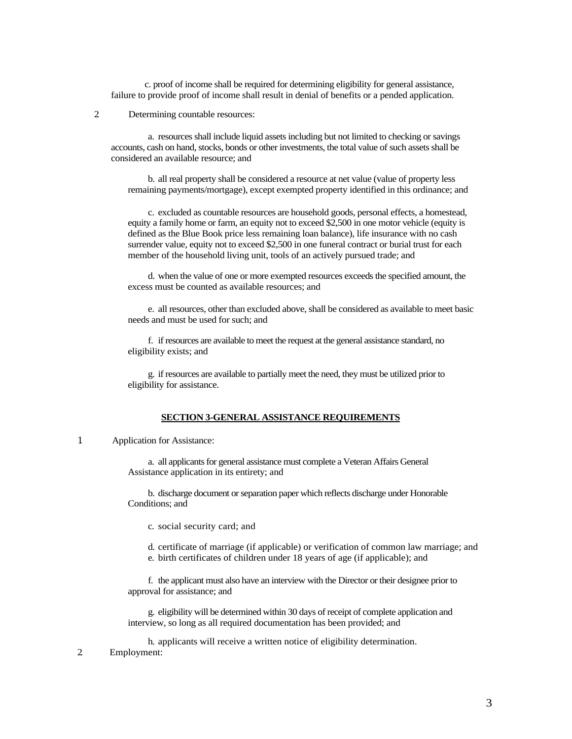c. proof of income shall be required for determining eligibility for general assistance, failure to provide proof of income shall result in denial of benefits or a pended application.

# 2. Determining countable resources:

a. resources shall include liquid assets including but not limited to checking or savings accounts, cash on hand, stocks, bonds or other investments, the total value of such assets shall be considered an available resource; and

b. all real property shall be considered a resource at net value (value of property less remaining payments/mortgage), except exempted property identified in this ordinance; and

c. excluded as countable resources are household goods, personal effects, a homestead, equity a family home or farm, an equity not to exceed \$2,500 in one motor vehicle (equity is defined as the Blue Book price less remaining loan balance), life insurance with no cash surrender value, equity not to exceed \$2,500 in one funeral contract or burial trust for each member of the household living unit, tools of an actively pursued trade; and

d. when the value of one or more exempted resources exceeds the specified amount, the excess must be counted as available resources; and

e. all resources, other than excluded above, shall be considered as available to meet basic needs and must be used for such; and

f. if resources are available to meet the request at the general assistance standard, no eligibility exists; and

g. if resources are available to partially meet the need, they must be utilized prior to eligibility for assistance.

## **SECTION 3-GENERAL ASSISTANCE REQUIREMENTS**

## 1. Application for Assistance:

a. all applicants for general assistance must complete a Veteran Affairs General Assistance application in its entirety; and

b. discharge document or separation paper which reflects discharge under Honorable Conditions; and

c. social security card; and

d. certificate of marriage (if applicable) or verification of common law marriage; and e. birth certificates of children under 18 years of age (if applicable); and

f. the applicant must also have an interview with the Director or their designee prior to approval for assistance; and

g. eligibility will be determined within 30 days of receipt of complete application and interview, so long as all required documentation has been provided; and

h. applicants will receive a written notice of eligibility determination. 2. Employment: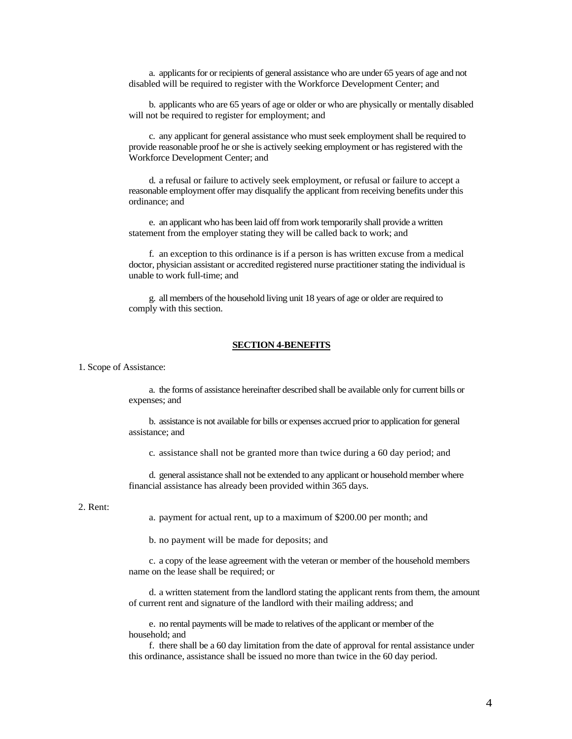a. applicants for or recipients of general assistance who are under 65 years of age and not disabled will be required to register with the Workforce Development Center; and

b. applicants who are 65 years of age or older or who are physically or mentally disabled will not be required to register for employment; and

c. any applicant for general assistance who must seek employment shall be required to provide reasonable proof he or she is actively seeking employment or has registered with the Workforce Development Center; and

d. a refusal or failure to actively seek employment, or refusal or failure to accept a reasonable employment offer may disqualify the applicant from receiving benefits under this ordinance; and

e. an applicant who has been laid off from work temporarily shall provide a written statement from the employer stating they will be called back to work; and

f. an exception to this ordinance is if a person is has written excuse from a medical doctor, physician assistant or accredited registered nurse practitioner stating the individual is unable to work full-time; and

g. all members of the household living unit 18 years of age or older are required to comply with this section.

### **SECTION 4-BENEFITS**

1. Scope of Assistance:

a. the forms of assistance hereinafter described shall be available only for current bills or expenses; and

b. assistance is not available for bills or expenses accrued prior to application for general assistance; and

c. assistance shall not be granted more than twice during a 60 day period; and

d. general assistance shall not be extended to any applicant or household member where financial assistance has already been provided within 365 days.

#### 2. Rent:

a. payment for actual rent, up to a maximum of \$200.00 per month; and

b. no payment will be made for deposits; and

c. a copy of the lease agreement with the veteran or member of the household members name on the lease shall be required; or

d. a written statement from the landlord stating the applicant rents from them, the amount of current rent and signature of the landlord with their mailing address; and

e. no rental payments will be made to relatives of the applicant or member of the household; and

f. there shall be a 60 day limitation from the date of approval for rental assistance under this ordinance, assistance shall be issued no more than twice in the 60 day period.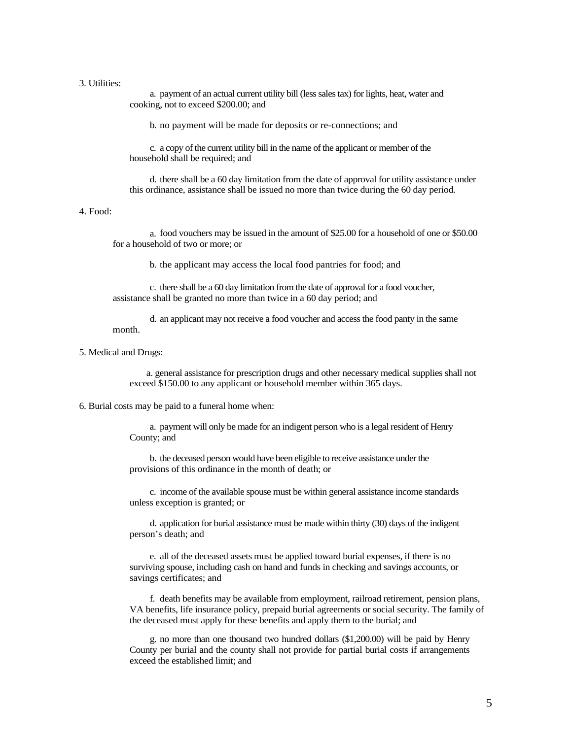### 3. Utilities:

a. payment of an actual current utility bill (less sales tax) for lights, heat, water and cooking, not to exceed \$200.00; and

b. no payment will be made for deposits or re-connections; and

c. a copy of the current utility bill in the name of the applicant or member of the household shall be required; and

d. there shall be a 60 day limitation from the date of approval for utility assistance under this ordinance, assistance shall be issued no more than twice during the 60 day period.

# 4. Food:

a. food vouchers may be issued in the amount of \$25.00 for a household of one or \$50.00 for a household of two or more; or

b. the applicant may access the local food pantries for food; and

c. there shall be a 60 day limitation from the date of approval for a food voucher, assistance shall be granted no more than twice in a 60 day period; and

d. an applicant may not receive a food voucher and access the food panty in the same month.

5. Medical and Drugs:

a. general assistance for prescription drugs and other necessary medical supplies shall not exceed \$150.00 to any applicant or household member within 365 days.

6. Burial costs may be paid to a funeral home when:

a. payment will only be made for an indigent person who is a legal resident of Henry County; and

b. the deceased person would have been eligible to receive assistance under the provisions of this ordinance in the month of death; or

c. income of the available spouse must be within general assistance income standards unless exception is granted; or

d. application for burial assistance must be made within thirty (30) days of the indigent person's death; and

e. all of the deceased assets must be applied toward burial expenses, if there is no surviving spouse, including cash on hand and funds in checking and savings accounts, or savings certificates; and

f. death benefits may be available from employment, railroad retirement, pension plans, VA benefits, life insurance policy, prepaid burial agreements or social security. The family of the deceased must apply for these benefits and apply them to the burial; and

g. no more than one thousand two hundred dollars (\$1,200.00) will be paid by Henry County per burial and the county shall not provide for partial burial costs if arrangements exceed the established limit; and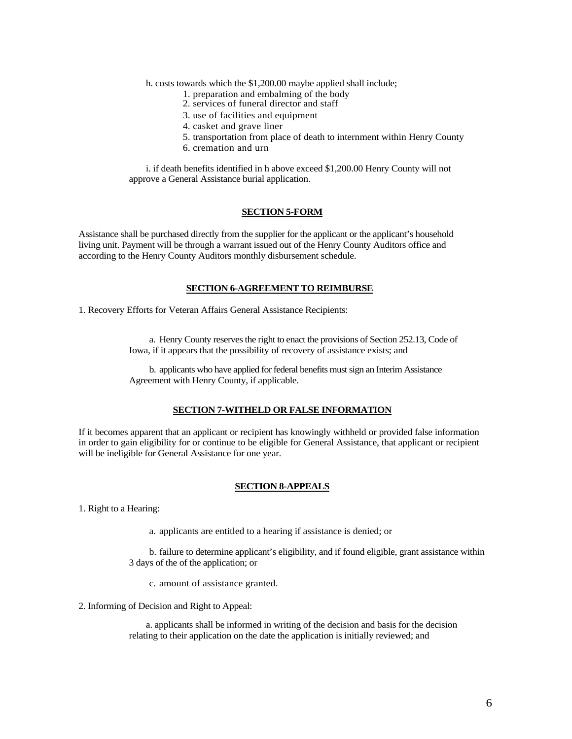h. costs towards which the \$1,200.00 maybe applied shall include;

- 1. preparation and embalming of the body
- 2. services of funeral director and staff
- 3. use of facilities and equipment
- 4. casket and grave liner
- 5. transportation from place of death to internment within Henry County
- 6. cremation and urn

i. if death benefits identified in h above exceed \$1,200.00 Henry County will not approve a General Assistance burial application.

# **SECTION 5-FORM**

Assistance shall be purchased directly from the supplier for the applicant or the applicant's household living unit. Payment will be through a warrant issued out of the Henry County Auditors office and according to the Henry County Auditors monthly disbursement schedule.

#### **SECTION 6-AGREEMENT TO REIMBURSE**

1. Recovery Efforts for Veteran Affairs General Assistance Recipients:

a. Henry County reserves the right to enact the provisions of Section 252.13, Code of Iowa, if it appears that the possibility of recovery of assistance exists; and

b. applicants who have applied for federal benefits must sign an Interim Assistance Agreement with Henry County, if applicable.

# **SECTION 7-WITHELD OR FALSE INFORMATION**

If it becomes apparent that an applicant or recipient has knowingly withheld or provided false information in order to gain eligibility for or continue to be eligible for General Assistance, that applicant or recipient will be ineligible for General Assistance for one year.

# **SECTION 8-APPEALS**

1. Right to a Hearing:

a. applicants are entitled to a hearing if assistance is denied; or

b. failure to determine applicant's eligibility, and if found eligible, grant assistance within 3 days of the of the application; or

c. amount of assistance granted.

2. Informing of Decision and Right to Appeal:

a. applicants shall be informed in writing of the decision and basis for the decision relating to their application on the date the application is initially reviewed; and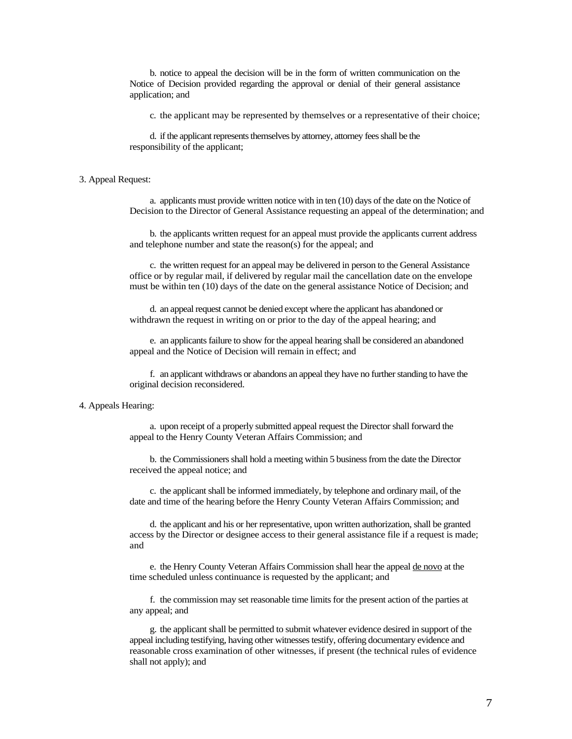b. notice to appeal the decision will be in the form of written communication on the Notice of Decision provided regarding the approval or denial of their general assistance application; and

c. the applicant may be represented by themselves or a representative of their choice;

d. if the applicant represents themselves by attorney, attorney fees shall be the responsibility of the applicant;

### 3. Appeal Request:

a. applicants must provide written notice with in ten (10) days of the date on the Notice of Decision to the Director of General Assistance requesting an appeal of the determination; and

b. the applicants written request for an appeal must provide the applicants current address and telephone number and state the reason(s) for the appeal; and

c. the written request for an appeal may be delivered in person to the General Assistance office or by regular mail, if delivered by regular mail the cancellation date on the envelope must be within ten (10) days of the date on the general assistance Notice of Decision; and

d. an appeal request cannot be denied except where the applicant has abandoned or withdrawn the request in writing on or prior to the day of the appeal hearing; and

e. an applicants failure to show for the appeal hearing shall be considered an abandoned appeal and the Notice of Decision will remain in effect; and

f. an applicant withdraws or abandons an appeal they have no further standing to have the original decision reconsidered.

#### 4. Appeals Hearing:

a. upon receipt of a properly submitted appeal request the Director shall forward the appeal to the Henry County Veteran Affairs Commission; and

b. the Commissioners shall hold a meeting within 5 business from the date the Director received the appeal notice; and

c. the applicant shall be informed immediately, by telephone and ordinary mail, of the date and time of the hearing before the Henry County Veteran Affairs Commission; and

d. the applicant and his or her representative, upon written authorization, shall be granted access by the Director or designee access to their general assistance file if a request is made; and

e. the Henry County Veteran Affairs Commission shall hear the appeal de novo at the time scheduled unless continuance is requested by the applicant; and

f. the commission may set reasonable time limits for the present action of the parties at any appeal; and

g. the applicant shall be permitted to submit whatever evidence desired in support of the appeal including testifying, having other witnesses testify, offering documentary evidence and reasonable cross examination of other witnesses, if present (the technical rules of evidence shall not apply); and